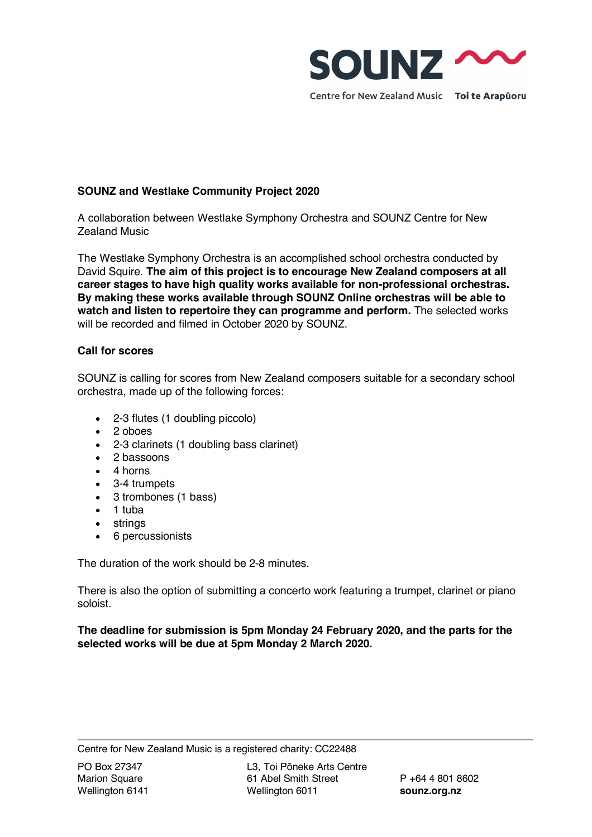

# **SOUNZ and Westlake Community Project 2020**

A collaboration between Westlake Symphony Orchestra and SOUNZ Centre for New Zealand Music

The Westlake Symphony Orchestra is an accomplished school orchestra conducted by David Squire. **The aim of this project is to encourage New Zealand composers at all career stages to have high quality works available for non-professional orchestras. By making these works available through SOUNZ Online orchestras will be able to watch and listen to repertoire they can programme and perform.** The selected works will be recorded and filmed in October 2020 by SOUNZ.

# **Call for scores**

SOUNZ is calling for scores from New Zealand composers suitable for a secondary school orchestra, made up of the following forces:

- 2-3 flutes (1 doubling piccolo)
- 2 oboes
- 2-3 clarinets (1 doubling bass clarinet)
- 2 bassoons
- 4 horns
- 3-4 trumpets
- 3 trombones (1 bass)
- 1 tuba
- strings
- 6 percussionists

The duration of the work should be 2-8 minutes.

There is also the option of submitting a concerto work featuring a trumpet, clarinet or piano soloist.

**The deadline for submission is 5pm Monday 24 February 2020, and the parts for the selected works will be due at 5pm Monday 2 March 2020.**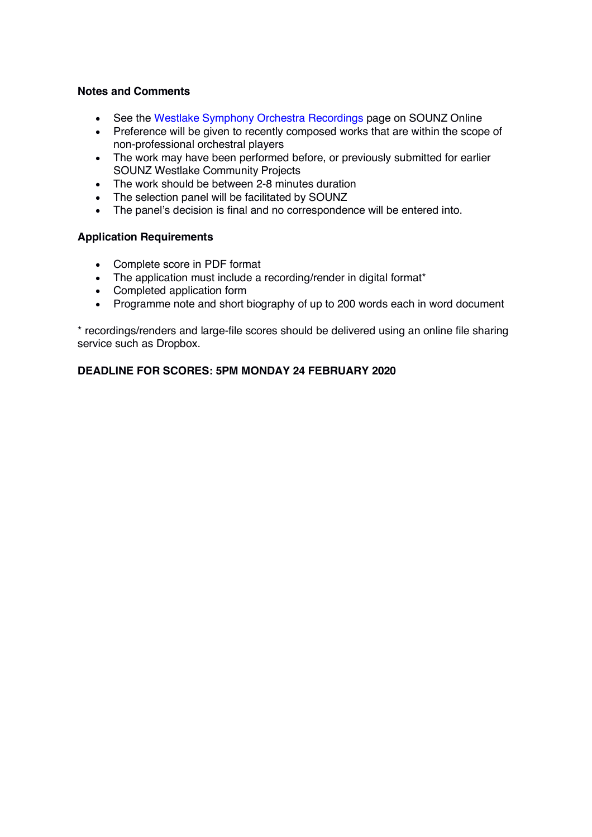## **Notes and Comments**

- See the Westlake Symphony Orchestra Recordings page on SOUNZ Online
- Preference will be given to recently composed works that are within the scope of non-professional orchestral players
- The work may have been performed before, or previously submitted for earlier SOUNZ Westlake Community Projects
- The work should be between 2-8 minutes duration
- The selection panel will be facilitated by SOUNZ
- The panel's decision is final and no correspondence will be entered into.

## **Application Requirements**

- Complete score in PDF format
- The application must include a recording/render in digital format\*
- Completed application form
- Programme note and short biography of up to 200 words each in word document

\* recordings/renders and large-file scores should be delivered using an online file sharing service such as Dropbox.

## **DEADLINE FOR SCORES: 5PM MONDAY 24 FEBRUARY 2020**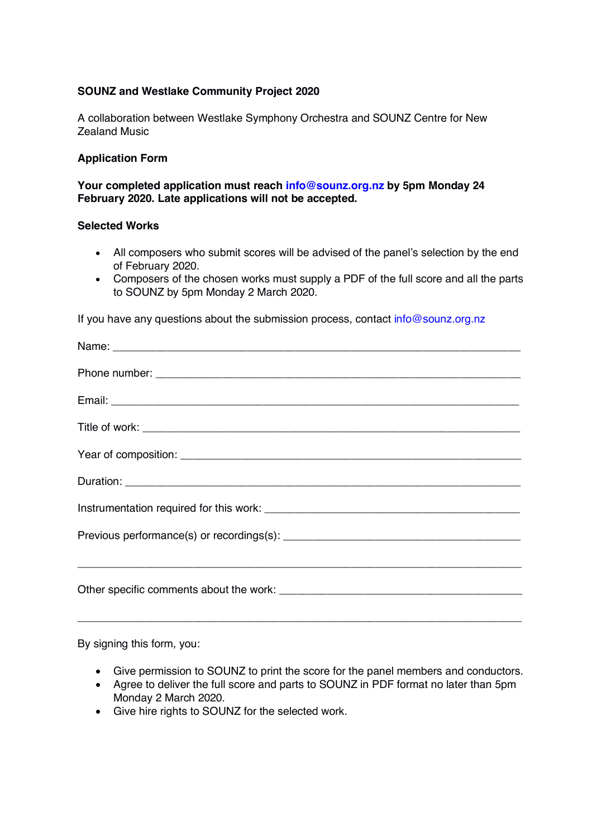# **SOUNZ and Westlake Community Project 2020**

A collaboration between Westlake Symphony Orchestra and SOUNZ Centre for New Zealand Music

## **Application Form**

**Your completed application must reach info@sounz.org.nz by 5pm Monday 24 February 2020. Late applications will not be accepted.** 

## **Selected Works**

- All composers who submit scores will be advised of the panel's selection by the end of February 2020.
- Composers of the chosen works must supply a PDF of the full score and all the parts to SOUNZ by 5pm Monday 2 March 2020.

If you have any questions about the submission process, contact info@sounz.org.nz

| <u> 1989 - Johann Stoff, deutscher Stoff, der Stoff, der Stoff, der Stoff, der Stoff, der Stoff, der Stoff, der S</u> |
|-----------------------------------------------------------------------------------------------------------------------|
|                                                                                                                       |

By signing this form, you:

- Give permission to SOUNZ to print the score for the panel members and conductors.
- Agree to deliver the full score and parts to SOUNZ in PDF format no later than 5pm Monday 2 March 2020.
- Give hire rights to SOUNZ for the selected work.